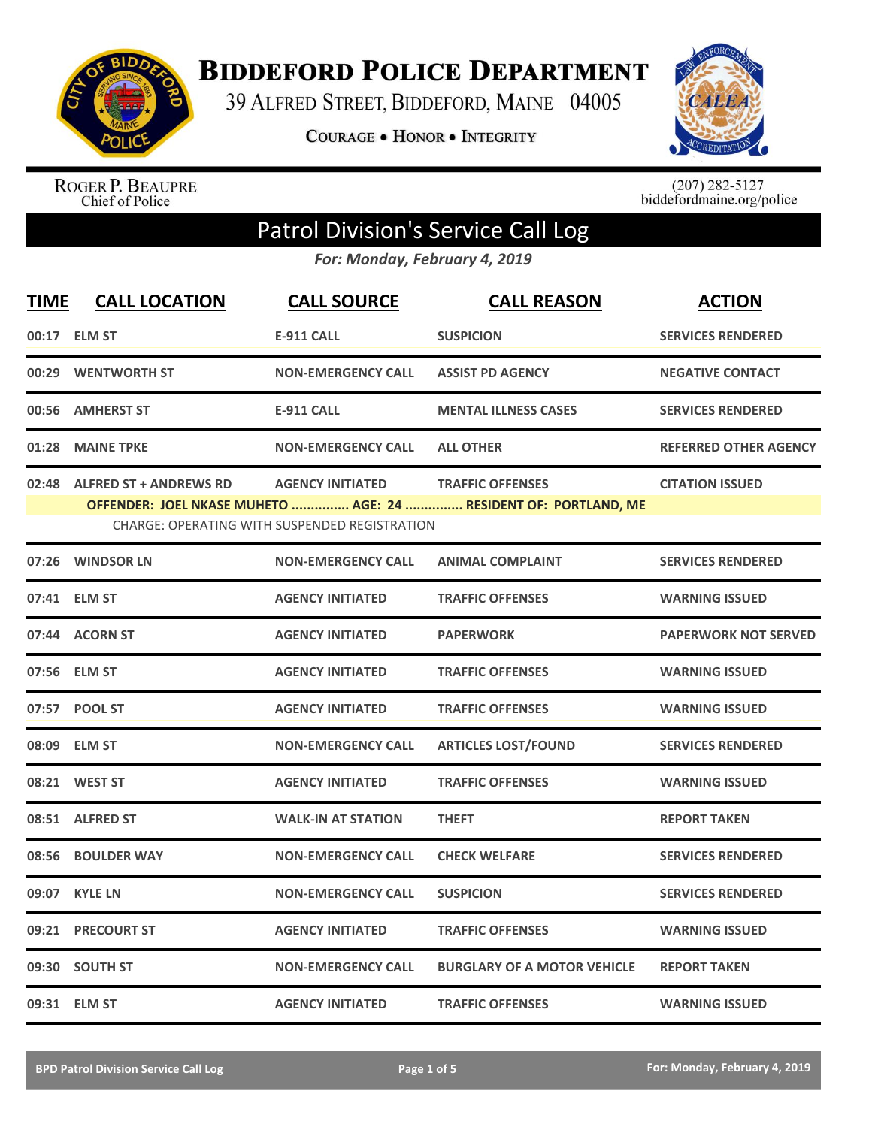

**BIDDEFORD POLICE DEPARTMENT** 

39 ALFRED STREET, BIDDEFORD, MAINE 04005

**COURAGE . HONOR . INTEGRITY** 



ROGER P. BEAUPRE<br>Chief of Police

 $(207)$  282-5127<br>biddefordmaine.org/police

## Patrol Division's Service Call Log

*For: Monday, February 4, 2019*

| <b>TIME</b> | <b>CALL LOCATION</b>          | <b>CALL SOURCE</b>                                                              | <b>CALL REASON</b>                                                                         | <b>ACTION</b>                |
|-------------|-------------------------------|---------------------------------------------------------------------------------|--------------------------------------------------------------------------------------------|------------------------------|
|             | 00:17 ELM ST                  | <b>E-911 CALL</b>                                                               | <b>SUSPICION</b>                                                                           | <b>SERVICES RENDERED</b>     |
| 00:29       | <b>WENTWORTH ST</b>           | <b>NON-EMERGENCY CALL</b>                                                       | <b>ASSIST PD AGENCY</b>                                                                    | <b>NEGATIVE CONTACT</b>      |
|             | 00:56 AMHERST ST              | <b>E-911 CALL</b>                                                               | <b>MENTAL ILLNESS CASES</b>                                                                | <b>SERVICES RENDERED</b>     |
| 01:28       | <b>MAINE TPKE</b>             | <b>NON-EMERGENCY CALL</b>                                                       | <b>ALL OTHER</b>                                                                           | <b>REFERRED OTHER AGENCY</b> |
| 02:48       | <b>ALFRED ST + ANDREWS RD</b> | <b>AGENCY INITIATED</b><br><b>CHARGE: OPERATING WITH SUSPENDED REGISTRATION</b> | <b>TRAFFIC OFFENSES</b><br>OFFENDER: JOEL NKASE MUHETO  AGE: 24  RESIDENT OF: PORTLAND, ME | <b>CITATION ISSUED</b>       |
| 07:26       | <b>WINDSOR LN</b>             | <b>NON-EMERGENCY CALL</b>                                                       | <b>ANIMAL COMPLAINT</b>                                                                    | <b>SERVICES RENDERED</b>     |
|             | 07:41 ELM ST                  | <b>AGENCY INITIATED</b>                                                         | <b>TRAFFIC OFFENSES</b>                                                                    | <b>WARNING ISSUED</b>        |
|             | 07:44 ACORN ST                | <b>AGENCY INITIATED</b>                                                         | <b>PAPERWORK</b>                                                                           | <b>PAPERWORK NOT SERVED</b>  |
|             | 07:56 ELM ST                  | <b>AGENCY INITIATED</b>                                                         | <b>TRAFFIC OFFENSES</b>                                                                    | <b>WARNING ISSUED</b>        |
|             | 07:57 POOL ST                 | <b>AGENCY INITIATED</b>                                                         | <b>TRAFFIC OFFENSES</b>                                                                    | <b>WARNING ISSUED</b>        |
|             | 08:09 ELM ST                  | <b>NON-EMERGENCY CALL</b>                                                       | <b>ARTICLES LOST/FOUND</b>                                                                 | <b>SERVICES RENDERED</b>     |
|             | 08:21 WEST ST                 | <b>AGENCY INITIATED</b>                                                         | <b>TRAFFIC OFFENSES</b>                                                                    | <b>WARNING ISSUED</b>        |
|             | 08:51 ALFRED ST               | <b>WALK-IN AT STATION</b>                                                       | <b>THEFT</b>                                                                               | <b>REPORT TAKEN</b>          |
| 08:56       | <b>BOULDER WAY</b>            | <b>NON-EMERGENCY CALL</b>                                                       | <b>CHECK WELFARE</b>                                                                       | <b>SERVICES RENDERED</b>     |
| 09:07       | <b>KYLE LN</b>                | <b>NON-EMERGENCY CALL</b>                                                       | <b>SUSPICION</b>                                                                           | <b>SERVICES RENDERED</b>     |
| 09:21       | <b>PRECOURT ST</b>            | <b>AGENCY INITIATED</b>                                                         | <b>TRAFFIC OFFENSES</b>                                                                    | <b>WARNING ISSUED</b>        |
| 09:30       | <b>SOUTH ST</b>               | <b>NON-EMERGENCY CALL</b>                                                       | <b>BURGLARY OF A MOTOR VEHICLE</b>                                                         | <b>REPORT TAKEN</b>          |
|             | 09:31 ELM ST                  | <b>AGENCY INITIATED</b>                                                         | <b>TRAFFIC OFFENSES</b>                                                                    | <b>WARNING ISSUED</b>        |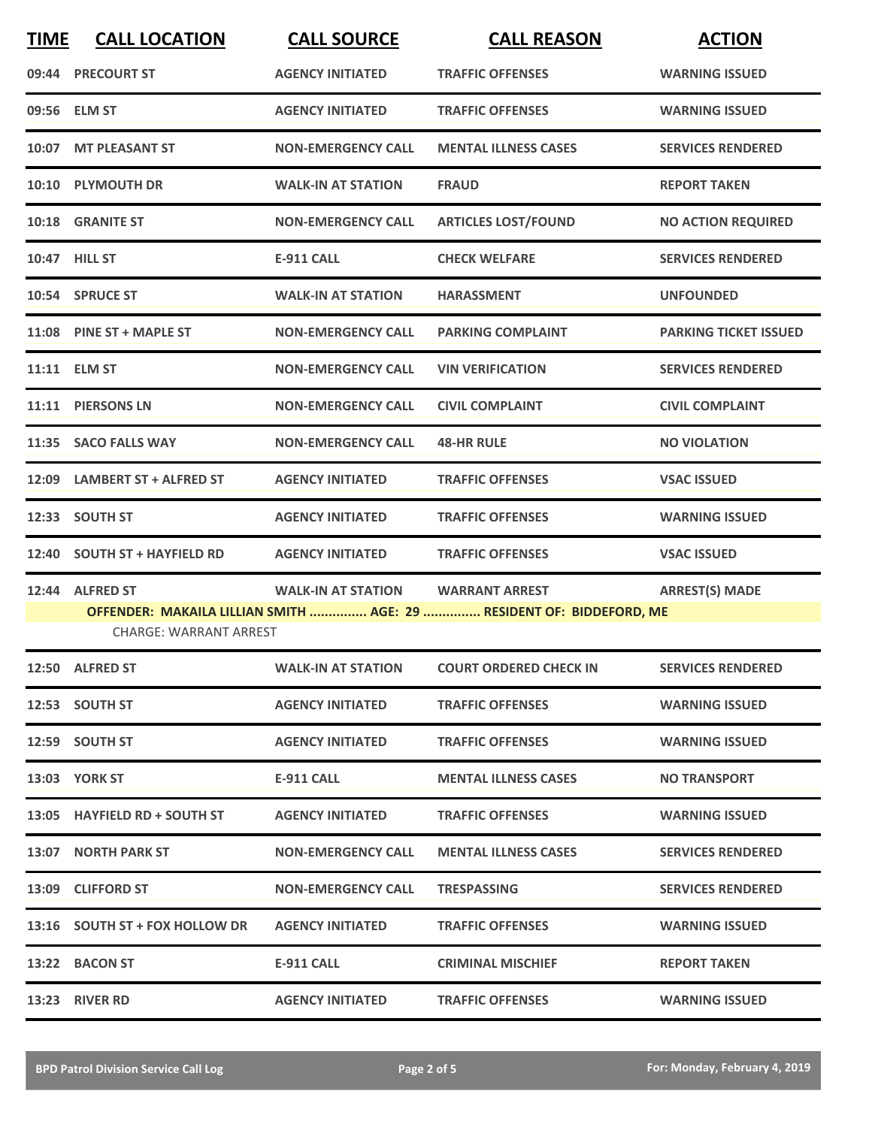| <b>TIME</b> | <b>CALL LOCATION</b>           | <b>CALL SOURCE</b>        | <b>CALL REASON</b>                                                                            | <b>ACTION</b>                |
|-------------|--------------------------------|---------------------------|-----------------------------------------------------------------------------------------------|------------------------------|
|             | 09:44 PRECOURT ST              | <b>AGENCY INITIATED</b>   | <b>TRAFFIC OFFENSES</b>                                                                       | <b>WARNING ISSUED</b>        |
|             | 09:56 ELM ST                   | <b>AGENCY INITIATED</b>   | <b>TRAFFIC OFFENSES</b>                                                                       | <b>WARNING ISSUED</b>        |
|             | 10:07 MT PLEASANT ST           | <b>NON-EMERGENCY CALL</b> | <b>MENTAL ILLNESS CASES</b>                                                                   | <b>SERVICES RENDERED</b>     |
|             | 10:10 PLYMOUTH DR              | <b>WALK-IN AT STATION</b> | <b>FRAUD</b>                                                                                  | <b>REPORT TAKEN</b>          |
|             | 10:18 GRANITE ST               | <b>NON-EMERGENCY CALL</b> | <b>ARTICLES LOST/FOUND</b>                                                                    | <b>NO ACTION REQUIRED</b>    |
|             | 10:47 HILL ST                  | <b>E-911 CALL</b>         | <b>CHECK WELFARE</b>                                                                          | <b>SERVICES RENDERED</b>     |
|             | 10:54 SPRUCE ST                | <b>WALK-IN AT STATION</b> | <b>HARASSMENT</b>                                                                             | <b>UNFOUNDED</b>             |
|             | 11:08 PINE ST + MAPLE ST       | <b>NON-EMERGENCY CALL</b> | <b>PARKING COMPLAINT</b>                                                                      | <b>PARKING TICKET ISSUED</b> |
|             | 11:11 ELM ST                   | <b>NON-EMERGENCY CALL</b> | <b>VIN VERIFICATION</b>                                                                       | <b>SERVICES RENDERED</b>     |
|             | 11:11 PIERSONS LN              | <b>NON-EMERGENCY CALL</b> | <b>CIVIL COMPLAINT</b>                                                                        | <b>CIVIL COMPLAINT</b>       |
|             | 11:35 SACO FALLS WAY           | <b>NON-EMERGENCY CALL</b> | <b>48-HR RULE</b>                                                                             | <b>NO VIOLATION</b>          |
| 12:09       | <b>LAMBERT ST + ALFRED ST</b>  | <b>AGENCY INITIATED</b>   | <b>TRAFFIC OFFENSES</b>                                                                       | <b>VSAC ISSUED</b>           |
| 12:33       | <b>SOUTH ST</b>                | <b>AGENCY INITIATED</b>   | <b>TRAFFIC OFFENSES</b>                                                                       | <b>WARNING ISSUED</b>        |
|             | 12:40 SOUTH ST + HAYFIELD RD   | <b>AGENCY INITIATED</b>   | <b>TRAFFIC OFFENSES</b>                                                                       | <b>VSAC ISSUED</b>           |
|             | 12:44 ALFRED ST                | <b>WALK-IN AT STATION</b> | <b>WARRANT ARREST</b><br>OFFENDER: MAKAILA LILLIAN SMITH  AGE: 29  RESIDENT OF: BIDDEFORD, ME | <b>ARREST(S) MADE</b>        |
|             | <b>CHARGE: WARRANT ARREST</b>  |                           |                                                                                               |                              |
|             | 12:50 ALFRED ST                | <b>WALK-IN AT STATION</b> | <b>COURT ORDERED CHECK IN</b>                                                                 | <b>SERVICES RENDERED</b>     |
|             | 12:53 SOUTH ST                 | <b>AGENCY INITIATED</b>   | <b>TRAFFIC OFFENSES</b>                                                                       | <b>WARNING ISSUED</b>        |
|             | 12:59 SOUTH ST                 | <b>AGENCY INITIATED</b>   | <b>TRAFFIC OFFENSES</b>                                                                       | <b>WARNING ISSUED</b>        |
|             | <b>13:03 YORK ST</b>           | E-911 CALL                | <b>MENTAL ILLNESS CASES</b>                                                                   | <b>NO TRANSPORT</b>          |
|             | 13:05 HAYFIELD RD + SOUTH ST   | <b>AGENCY INITIATED</b>   | <b>TRAFFIC OFFENSES</b>                                                                       | <b>WARNING ISSUED</b>        |
|             | 13:07 NORTH PARK ST            | <b>NON-EMERGENCY CALL</b> | <b>MENTAL ILLNESS CASES</b>                                                                   | <b>SERVICES RENDERED</b>     |
|             | 13:09 CLIFFORD ST              | <b>NON-EMERGENCY CALL</b> | <b>TRESPASSING</b>                                                                            | <b>SERVICES RENDERED</b>     |
|             | 13:16 SOUTH ST + FOX HOLLOW DR | <b>AGENCY INITIATED</b>   | <b>TRAFFIC OFFENSES</b>                                                                       | <b>WARNING ISSUED</b>        |
|             | 13:22 BACON ST                 | E-911 CALL                | <b>CRIMINAL MISCHIEF</b>                                                                      | <b>REPORT TAKEN</b>          |
|             | 13:23 RIVER RD                 | <b>AGENCY INITIATED</b>   | <b>TRAFFIC OFFENSES</b>                                                                       | <b>WARNING ISSUED</b>        |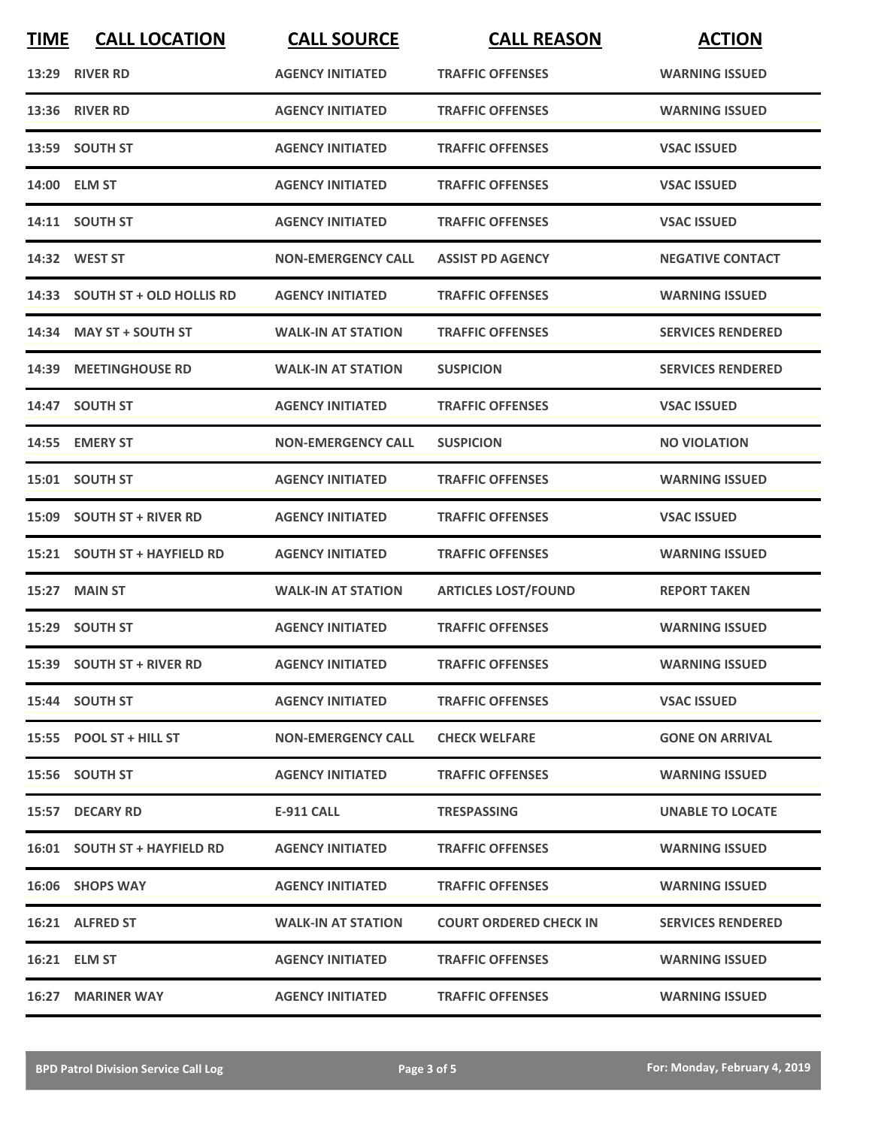| <b>TIME</b> | <b>CALL LOCATION</b>           | <b>CALL SOURCE</b>        | <b>CALL REASON</b>            | <b>ACTION</b>            |
|-------------|--------------------------------|---------------------------|-------------------------------|--------------------------|
|             | 13:29 RIVER RD                 | <b>AGENCY INITIATED</b>   | <b>TRAFFIC OFFENSES</b>       | <b>WARNING ISSUED</b>    |
|             | <b>13:36 RIVER RD</b>          | <b>AGENCY INITIATED</b>   | <b>TRAFFIC OFFENSES</b>       | <b>WARNING ISSUED</b>    |
|             | 13:59 SOUTH ST                 | <b>AGENCY INITIATED</b>   | <b>TRAFFIC OFFENSES</b>       | <b>VSAC ISSUED</b>       |
|             | 14:00 ELM ST                   | <b>AGENCY INITIATED</b>   | <b>TRAFFIC OFFENSES</b>       | <b>VSAC ISSUED</b>       |
|             | 14:11 SOUTH ST                 | <b>AGENCY INITIATED</b>   | <b>TRAFFIC OFFENSES</b>       | <b>VSAC ISSUED</b>       |
|             | 14:32 WEST ST                  | <b>NON-EMERGENCY CALL</b> | <b>ASSIST PD AGENCY</b>       | <b>NEGATIVE CONTACT</b>  |
|             | 14:33 SOUTH ST + OLD HOLLIS RD | <b>AGENCY INITIATED</b>   | <b>TRAFFIC OFFENSES</b>       | <b>WARNING ISSUED</b>    |
|             | 14:34 MAY ST + SOUTH ST        | <b>WALK-IN AT STATION</b> | <b>TRAFFIC OFFENSES</b>       | <b>SERVICES RENDERED</b> |
| 14:39       | <b>MEETINGHOUSE RD</b>         | <b>WALK-IN AT STATION</b> | <b>SUSPICION</b>              | <b>SERVICES RENDERED</b> |
|             | 14:47 SOUTH ST                 | <b>AGENCY INITIATED</b>   | <b>TRAFFIC OFFENSES</b>       | <b>VSAC ISSUED</b>       |
|             | 14:55 EMERY ST                 | <b>NON-EMERGENCY CALL</b> | <b>SUSPICION</b>              | <b>NO VIOLATION</b>      |
|             | 15:01 SOUTH ST                 | <b>AGENCY INITIATED</b>   | <b>TRAFFIC OFFENSES</b>       | <b>WARNING ISSUED</b>    |
| 15:09       | <b>SOUTH ST + RIVER RD</b>     | <b>AGENCY INITIATED</b>   | <b>TRAFFIC OFFENSES</b>       | <b>VSAC ISSUED</b>       |
|             | 15:21 SOUTH ST + HAYFIELD RD   | <b>AGENCY INITIATED</b>   | <b>TRAFFIC OFFENSES</b>       | <b>WARNING ISSUED</b>    |
|             | 15:27 MAIN ST                  | <b>WALK-IN AT STATION</b> | <b>ARTICLES LOST/FOUND</b>    | <b>REPORT TAKEN</b>      |
|             | 15:29 SOUTH ST                 | <b>AGENCY INITIATED</b>   | <b>TRAFFIC OFFENSES</b>       | <b>WARNING ISSUED</b>    |
|             | 15:39 SOUTH ST + RIVER RD      | <b>AGENCY INITIATED</b>   | <b>TRAFFIC OFFENSES</b>       | <b>WARNING ISSUED</b>    |
|             | 15:44 SOUTH ST                 | <b>AGENCY INITIATED</b>   | <b>TRAFFIC OFFENSES</b>       | <b>VSAC ISSUED</b>       |
|             | 15:55 POOL ST + HILL ST        | <b>NON-EMERGENCY CALL</b> | <b>CHECK WELFARE</b>          | <b>GONE ON ARRIVAL</b>   |
|             | 15:56 SOUTH ST                 | <b>AGENCY INITIATED</b>   | <b>TRAFFIC OFFENSES</b>       | <b>WARNING ISSUED</b>    |
|             | 15:57 DECARY RD                | E-911 CALL                | <b>TRESPASSING</b>            | <b>UNABLE TO LOCATE</b>  |
|             | 16:01 SOUTH ST + HAYFIELD RD   | <b>AGENCY INITIATED</b>   | <b>TRAFFIC OFFENSES</b>       | <b>WARNING ISSUED</b>    |
|             | 16:06 SHOPS WAY                | <b>AGENCY INITIATED</b>   | <b>TRAFFIC OFFENSES</b>       | <b>WARNING ISSUED</b>    |
|             | 16:21 ALFRED ST                | <b>WALK-IN AT STATION</b> | <b>COURT ORDERED CHECK IN</b> | <b>SERVICES RENDERED</b> |
|             | 16:21 ELM ST                   | <b>AGENCY INITIATED</b>   | <b>TRAFFIC OFFENSES</b>       | <b>WARNING ISSUED</b>    |
|             | 16:27 MARINER WAY              | <b>AGENCY INITIATED</b>   | <b>TRAFFIC OFFENSES</b>       | <b>WARNING ISSUED</b>    |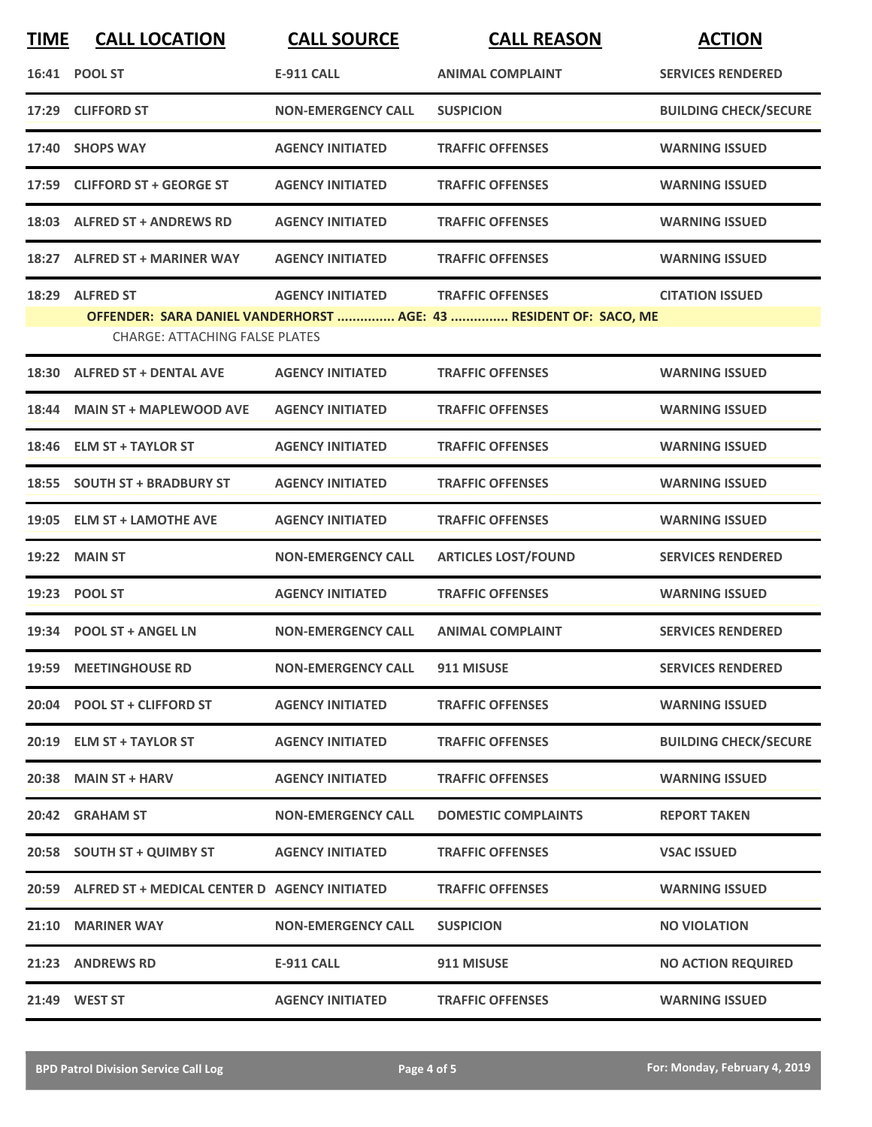| <b>TIME</b> | <b>CALL LOCATION</b>                                     | <b>CALL SOURCE</b>        | <b>CALL REASON</b>                                                                           | <b>ACTION</b>                |
|-------------|----------------------------------------------------------|---------------------------|----------------------------------------------------------------------------------------------|------------------------------|
|             | 16:41 POOL ST                                            | <b>E-911 CALL</b>         | <b>ANIMAL COMPLAINT</b>                                                                      | <b>SERVICES RENDERED</b>     |
|             | 17:29 CLIFFORD ST                                        | <b>NON-EMERGENCY CALL</b> | <b>SUSPICION</b>                                                                             | <b>BUILDING CHECK/SECURE</b> |
|             | 17:40 SHOPS WAY                                          | <b>AGENCY INITIATED</b>   | <b>TRAFFIC OFFENSES</b>                                                                      | <b>WARNING ISSUED</b>        |
|             | 17:59 CLIFFORD ST + GEORGE ST                            | <b>AGENCY INITIATED</b>   | <b>TRAFFIC OFFENSES</b>                                                                      | <b>WARNING ISSUED</b>        |
|             | 18:03 ALFRED ST + ANDREWS RD                             | <b>AGENCY INITIATED</b>   | <b>TRAFFIC OFFENSES</b>                                                                      | <b>WARNING ISSUED</b>        |
|             | 18:27 ALFRED ST + MARINER WAY                            | <b>AGENCY INITIATED</b>   | <b>TRAFFIC OFFENSES</b>                                                                      | <b>WARNING ISSUED</b>        |
|             | 18:29 ALFRED ST<br><b>CHARGE: ATTACHING FALSE PLATES</b> | <b>AGENCY INITIATED</b>   | <b>TRAFFIC OFFENSES</b><br>OFFENDER: SARA DANIEL VANDERHORST  AGE: 43  RESIDENT OF: SACO, ME | <b>CITATION ISSUED</b>       |
| 18:30       | <b>ALFRED ST + DENTAL AVE</b>                            | <b>AGENCY INITIATED</b>   | <b>TRAFFIC OFFENSES</b>                                                                      | <b>WARNING ISSUED</b>        |
|             | 18:44 MAIN ST + MAPLEWOOD AVE                            | <b>AGENCY INITIATED</b>   | <b>TRAFFIC OFFENSES</b>                                                                      | <b>WARNING ISSUED</b>        |
|             | 18:46 ELM ST + TAYLOR ST                                 | <b>AGENCY INITIATED</b>   | <b>TRAFFIC OFFENSES</b>                                                                      | <b>WARNING ISSUED</b>        |
|             | 18:55 SOUTH ST + BRADBURY ST                             | <b>AGENCY INITIATED</b>   | <b>TRAFFIC OFFENSES</b>                                                                      | <b>WARNING ISSUED</b>        |
|             | 19:05 ELM ST + LAMOTHE AVE                               | <b>AGENCY INITIATED</b>   | <b>TRAFFIC OFFENSES</b>                                                                      | <b>WARNING ISSUED</b>        |
| 19:22       | <b>MAIN ST</b>                                           | <b>NON-EMERGENCY CALL</b> | <b>ARTICLES LOST/FOUND</b>                                                                   | <b>SERVICES RENDERED</b>     |
|             | 19:23 POOL ST                                            | <b>AGENCY INITIATED</b>   | <b>TRAFFIC OFFENSES</b>                                                                      | <b>WARNING ISSUED</b>        |
|             | 19:34 POOL ST + ANGEL LN                                 | <b>NON-EMERGENCY CALL</b> | <b>ANIMAL COMPLAINT</b>                                                                      | <b>SERVICES RENDERED</b>     |
|             | 19:59 MEETINGHOUSE RD                                    | <b>NON-EMERGENCY CALL</b> | 911 MISUSE                                                                                   | <b>SERVICES RENDERED</b>     |
|             | 20:04 POOL ST + CLIFFORD ST                              | <b>AGENCY INITIATED</b>   | <b>TRAFFIC OFFENSES</b>                                                                      | <b>WARNING ISSUED</b>        |
|             | 20:19 ELM ST + TAYLOR ST                                 | <b>AGENCY INITIATED</b>   | <b>TRAFFIC OFFENSES</b>                                                                      | <b>BUILDING CHECK/SECURE</b> |
|             | 20:38 MAIN ST + HARV                                     | <b>AGENCY INITIATED</b>   | <b>TRAFFIC OFFENSES</b>                                                                      | <b>WARNING ISSUED</b>        |
|             | 20:42 GRAHAM ST                                          | <b>NON-EMERGENCY CALL</b> | <b>DOMESTIC COMPLAINTS</b>                                                                   | <b>REPORT TAKEN</b>          |
|             | 20:58 SOUTH ST + QUIMBY ST                               | <b>AGENCY INITIATED</b>   | <b>TRAFFIC OFFENSES</b>                                                                      | <b>VSAC ISSUED</b>           |
|             | 20:59 ALFRED ST + MEDICAL CENTER D AGENCY INITIATED      |                           | <b>TRAFFIC OFFENSES</b>                                                                      | <b>WARNING ISSUED</b>        |
|             | 21:10 MARINER WAY                                        | <b>NON-EMERGENCY CALL</b> | <b>SUSPICION</b>                                                                             | <b>NO VIOLATION</b>          |
|             | 21:23 ANDREWS RD                                         | <b>E-911 CALL</b>         | 911 MISUSE                                                                                   | <b>NO ACTION REQUIRED</b>    |
|             | 21:49 WEST ST                                            | <b>AGENCY INITIATED</b>   | <b>TRAFFIC OFFENSES</b>                                                                      | <b>WARNING ISSUED</b>        |